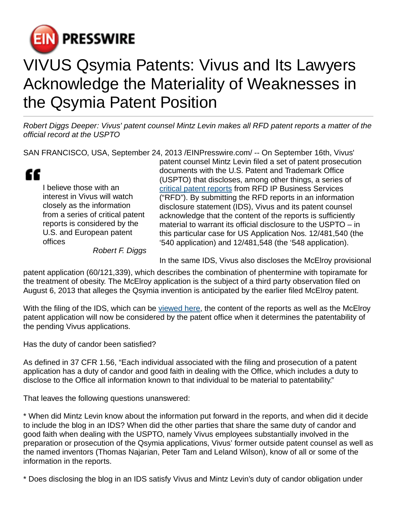

## VIVUS Qsymia Patents: Vivus and Its Lawyers Acknowledge the Materiality of Weaknesses in the Qsymia Patent Position

Robert Diggs Deeper: Vivus' patent counsel Mintz Levin makes all RFD patent reports a matter of the official record at the USPTO

SAN FRANCISCO, USA, September 24, 2013 /[EINPresswire.com/](http://www.einpresswire.com) -- On September 16th, Vivus'

æ I believe those with an interest in Vivus will watch closely as the information from a series of critical patent reports is considered by the U.S. and European patent offices

patent counsel Mintz Levin filed a set of patent prosecution documents with the U.S. Patent and Trademark Office (USPTO) that discloses, among other things, a series of [critical patent reports](http://vivuspatent.wordpress.com) from RFD IP Business Services ("RFD"). By submitting the RFD reports in an information disclosure statement (IDS), Vivus and its patent counsel acknowledge that the content of the reports is sufficiently material to warrant its official disclosure to the USPTO – in this particular case for US Application Nos. 12/481,540 (the '540 application) and 12/481,548 (the '548 application).

Robert F. Diggs

In the same IDS, Vivus also discloses the McElroy provisional

patent application (60/121,339), which describes the combination of phentermine with topiramate for the treatment of obesity. The McElroy application is the subject of a third party observation filed on August 6, 2013 that alleges the Qsymia invention is anticipated by the earlier filed McElroy patent.

With the filing of the IDS, which can be [viewed here,](https://www.dropbox.com/s/r7dveaw1jakt6z5/12481540_IDS.pdf) the content of the reports as well as the McElroy patent application will now be considered by the patent office when it determines the patentability of the pending Vivus applications.

Has the duty of candor been satisfied?

As defined in 37 CFR 1.56, "Each individual associated with the filing and prosecution of a patent application has a duty of candor and good faith in dealing with the Office, which includes a duty to disclose to the Office all information known to that individual to be material to patentability."

That leaves the following questions unanswered:

\* When did Mintz Levin know about the information put forward in the reports, and when did it decide to include the blog in an IDS? When did the other parties that share the same duty of candor and good faith when dealing with the USPTO, namely Vivus employees substantially involved in the preparation or prosecution of the Qsymia applications, Vivus' former outside patent counsel as well as the named inventors (Thomas Najarian, Peter Tam and Leland Wilson), know of all or some of the information in the reports.

\* Does disclosing the blog in an IDS satisfy Vivus and Mintz Levin's duty of candor obligation under